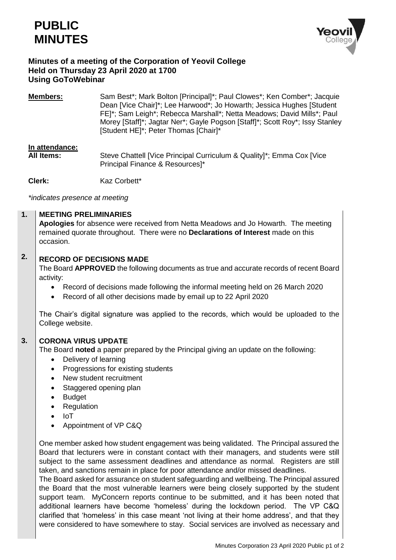



## **Minutes of a meeting of the Corporation of Yeovil College Held on Thursday 23 April 2020 at 1700 Using GoToWebinar**

**Members:** Sam Best\*; Mark Bolton [Principal]\*; Paul Clowes\*; Ken Comber\*; Jacquie Dean [Vice Chair]\*; Lee Harwood\*; Jo Howarth; Jessica Hughes [Student FE]\*; Sam Leigh\*; Rebecca Marshall\*; Netta Meadows; David Mills\*; Paul Morey [Staff]\*; Jagtar Ner\*; Gayle Pogson [Staff]\*; Scott Roy\*; Issy Stanley [Student HE]\*; Peter Thomas [Chair]\*

# **In attendance:**

**All Items:** Steve Chattell [Vice Principal Curriculum & Quality]\*; Emma Cox [Vice Principal Finance & Resources]\*

**Clerk:** Kaz Corbett\*

*\*indicates presence at meeting*

#### **1. MEETING PRELIMINARIES**

**Apologies** for absence were received from Netta Meadows and Jo Howarth. The meeting remained quorate throughout. There were no **Declarations of Interest** made on this occasion.

### **2. RECORD OF DECISIONS MADE**

The Board **APPROVED** the following documents as true and accurate records of recent Board activity:

- Record of decisions made following the informal meeting held on 26 March 2020
- Record of all other decisions made by email up to 22 April 2020

The Chair's digital signature was applied to the records, which would be uploaded to the College website.

#### **3. CORONA VIRUS UPDATE**

The Board **noted** a paper prepared by the Principal giving an update on the following:

- Delivery of learning
- Progressions for existing students
- New student recruitment
- Staggered opening plan
- Budget
- Regulation
- IoT
- Appointment of VP C&Q

One member asked how student engagement was being validated. The Principal assured the Board that lecturers were in constant contact with their managers, and students were still subject to the same assessment deadlines and attendance as normal. Registers are still taken, and sanctions remain in place for poor attendance and/or missed deadlines.

The Board asked for assurance on student safeguarding and wellbeing. The Principal assured the Board that the most vulnerable learners were being closely supported by the student support team. MyConcern reports continue to be submitted, and it has been noted that additional learners have become 'homeless' during the lockdown period. The VP C&Q clarified that 'homeless' in this case meant 'not living at their home address', and that they were considered to have somewhere to stay. Social services are involved as necessary and